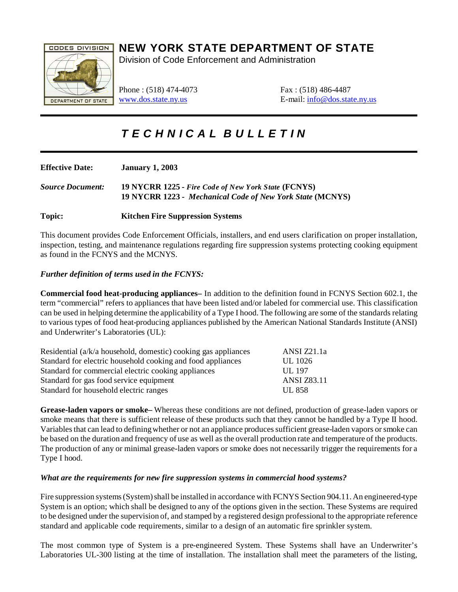

## **NEW YORK STATE DEPARTMENT OF STATE**

Division of Code Enforcement and Administration

Phone : (518) 474-4073 Fax : (518) 486-4487

[www.dos.state.ny.us](http://www.dos.state.ny.us) E-mail: [info@dos.state.ny.us](mailto:info@dos.state.ny.us)

# *T E C H N I C A L B U L L E T I N*

| <b>Effective Date:</b>  | <b>January 1, 2003</b>                                                                                           |
|-------------------------|------------------------------------------------------------------------------------------------------------------|
| <b>Source Document:</b> | 19 NYCRR 1225 - Fire Code of New York State (FCNYS)<br>19 NYCRR 1223 - Mechanical Code of New York State (MCNYS) |
| Topic:                  | <b>Kitchen Fire Suppression Systems</b>                                                                          |

This document provides Code Enforcement Officials, installers, and end users clarification on proper installation, inspection, testing, and maintenance regulations regarding fire suppression systems protecting cooking equipment as found in the FCNYS and the MCNYS.

## *Further definition of terms used in the FCNYS:*

**Commercial food heat-producing appliances–** In addition to the definition found in FCNYS Section 602.1, the term "commercial" refers to appliances that have been listed and/or labeled for commercial use. This classification can be used in helping determine the applicability of a Type I hood. The following are some of the standards relating to various types of food heat-producing appliances published by the American National Standards Institute (ANSI) and Underwriter's Laboratories (UL):

| Residential (a/k/a household, domestic) cooking gas appliances | ANSI Z21.1a        |
|----------------------------------------------------------------|--------------------|
| Standard for electric household cooking and food appliances    | UL 1026            |
| Standard for commercial electric cooking appliances            | $\text{UL}$ 197    |
| Standard for gas food service equipment                        | <b>ANSI Z83.11</b> |
| Standard for household electric ranges                         | <b>UL 858</b>      |

**Grease-laden vapors or smoke–** Whereas these conditions are not defined, production of grease-laden vapors or smoke means that there is sufficient release of these products such that they cannot be handled by a Type II hood. Variables that can lead to defining whether or not an appliance produces sufficient grease-laden vapors or smoke can be based on the duration and frequency of use as well as the overall production rate and temperature of the products. The production of any or minimal grease-laden vapors or smoke does not necessarily trigger the requirements for a Type I hood.

## *What are the requirements for new fire suppression systems in commercial hood systems?*

Fire suppression systems (System) shall be installed in accordance with FCNYS Section 904.11. An engineered-type System is an option; which shall be designed to any of the options given in the section. These Systems are required to be designed under the supervision of, and stamped by a registered design professional to the appropriate reference standard and applicable code requirements, similar to a design of an automatic fire sprinkler system.

The most common type of System is a pre-engineered System. These Systems shall have an Underwriter's Laboratories UL-300 listing at the time of installation. The installation shall meet the parameters of the listing,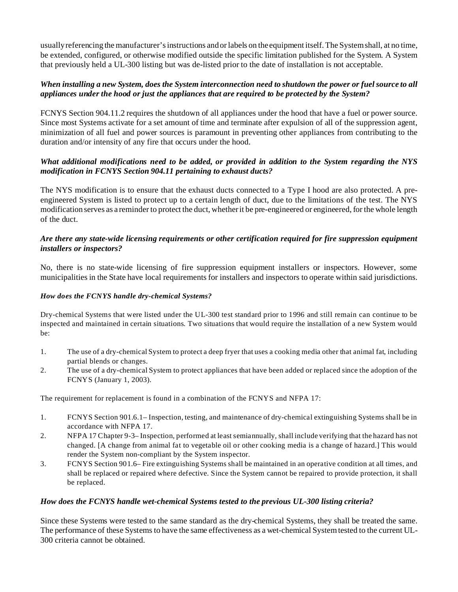usually referencing the manufacturer's instructions and or labels on the equipment itself. The System shall, at no time, be extended, configured, or otherwise modified outside the specific limitation published for the System. A System that previously held a UL-300 listing but was de-listed prior to the date of installation is not acceptable.

## *When installing a new System, does the System interconnection need to shutdown the power or fuel source to all appliances under the hood or just the appliances that are required to be protected by the System?*

FCNYS Section 904.11.2 requires the shutdown of all appliances under the hood that have a fuel or power source. Since most Systems activate for a set amount of time and terminate after expulsion of all of the suppression agent, minimization of all fuel and power sources is paramount in preventing other appliances from contributing to the duration and/or intensity of any fire that occurs under the hood.

## *What additional modifications need to be added, or provided in addition to the System regarding the NYS modification in FCNYS Section 904.11 pertaining to exhaust ducts?*

The NYS modification is to ensure that the exhaust ducts connected to a Type I hood are also protected. A preengineered System is listed to protect up to a certain length of duct, due to the limitations of the test. The NYS modification serves as a reminder to protect the duct, whether it be pre-engineered or engineered, for the whole length of the duct.

## *Are there any state-wide licensing requirements or other certification required for fire suppression equipment installers or inspectors?*

No, there is no state-wide licensing of fire suppression equipment installers or inspectors. However, some municipalities in the State have local requirements for installers and inspectors to operate within said jurisdictions.

#### *How does the FCNYS handle dry-chemical Systems?*

Dry-chemical Systems that were listed under the UL-300 test standard prior to 1996 and still remain can continue to be inspected and maintained in certain situations. Two situations that would require the installation of a new System would be:

- 1. The use of a dry-chemical System to protect a deep fryer that uses a cooking media other that animal fat, including partial blends or changes.
- 2. The use of a dry-chemical System to protect appliances that have been added or replaced since the adoption of the FCNYS (January 1, 2003).

The requirement for replacement is found in a combination of the FCNYS and NFPA 17:

- 1. FCNYS Section 901.6.1– Inspection, testing, and maintenance of dry-chemical extinguishing Systems shall be in accordance with NFPA 17.
- 2. NFPA 17 Chapter 9-3– Inspection, performed at least semiannually, shall include verifying that the hazard has not changed. [A change from animal fat to vegetable oil or other cooking media is a change of hazard.] This would render the System non-compliant by the System inspector.
- 3. FCNYS Section 901.6– Fire extinguishing Systems shall be maintained in an operative condition at all times, and shall be replaced or repaired where defective. Since the System cannot be repaired to provide protection, it shall be replaced.

#### *How does the FCNYS handle wet-chemical Systems tested to the previous UL-300 listing criteria?*

Since these Systems were tested to the same standard as the dry-chemical Systems, they shall be treated the same. The performance of these Systems to have the same effectiveness as a wet-chemical System tested to the current UL-300 criteria cannot be obtained.